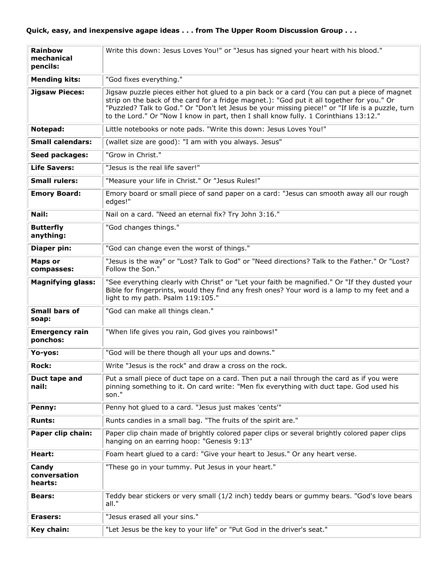| <b>Rainbow</b><br>mechanical<br>pencils: | Write this down: Jesus Loves You!" or "Jesus has signed your heart with his blood."                                                                                                                                                                                                                                                                                                     |
|------------------------------------------|-----------------------------------------------------------------------------------------------------------------------------------------------------------------------------------------------------------------------------------------------------------------------------------------------------------------------------------------------------------------------------------------|
| <b>Mending kits:</b>                     | "God fixes everything."                                                                                                                                                                                                                                                                                                                                                                 |
| <b>Jigsaw Pieces:</b>                    | Jigsaw puzzle pieces either hot glued to a pin back or a card (You can put a piece of magnet<br>strip on the back of the card for a fridge magnet.): "God put it all together for you." Or<br>"Puzzled? Talk to God." Or "Don't let Jesus be your missing piece!" or "If life is a puzzle, turn<br>to the Lord." Or "Now I know in part, then I shall know fully. 1 Corinthians 13:12." |
| Notepad:                                 | Little notebooks or note pads. "Write this down: Jesus Loves You!"                                                                                                                                                                                                                                                                                                                      |
| <b>Small calendars:</b>                  | (wallet size are good): "I am with you always. Jesus"                                                                                                                                                                                                                                                                                                                                   |
| Seed packages:                           | "Grow in Christ."                                                                                                                                                                                                                                                                                                                                                                       |
| <b>Life Savers:</b>                      | "Jesus is the real life saver!"                                                                                                                                                                                                                                                                                                                                                         |
| <b>Small rulers:</b>                     | "Measure your life in Christ." Or "Jesus Rules!"                                                                                                                                                                                                                                                                                                                                        |
| <b>Emory Board:</b>                      | Emory board or small piece of sand paper on a card: "Jesus can smooth away all our rough<br>edges!"                                                                                                                                                                                                                                                                                     |
| Nail:                                    | Nail on a card. "Need an eternal fix? Try John 3:16."                                                                                                                                                                                                                                                                                                                                   |
| <b>Butterfly</b><br>anything:            | "God changes things."                                                                                                                                                                                                                                                                                                                                                                   |
| Diaper pin:                              | "God can change even the worst of things."                                                                                                                                                                                                                                                                                                                                              |
| <b>Maps or</b><br>compasses:             | "Jesus is the way" or "Lost? Talk to God" or "Need directions? Talk to the Father." Or "Lost?<br>Follow the Son."                                                                                                                                                                                                                                                                       |
| Magnifying glass:                        | "See everything clearly with Christ" or "Let your faith be magnified." Or "If they dusted your<br>Bible for fingerprints, would they find any fresh ones? Your word is a lamp to my feet and a<br>light to my path. Psalm 119:105."                                                                                                                                                     |
| <b>Small bars of</b><br>soap:            | "God can make all things clean."                                                                                                                                                                                                                                                                                                                                                        |
| <b>Emergency rain</b><br>ponchos:        | "When life gives you rain, God gives you rainbows!"                                                                                                                                                                                                                                                                                                                                     |
| Yo-yos:                                  | "God will be there though all your ups and downs."                                                                                                                                                                                                                                                                                                                                      |
| <b>Rock:</b>                             | Write "Jesus is the rock" and draw a cross on the rock.                                                                                                                                                                                                                                                                                                                                 |
| Duct tape and<br>nail:                   | Put a small piece of duct tape on a card. Then put a nail through the card as if you were<br>pinning something to it. On card write: "Men fix everything with duct tape. God used his<br>son."                                                                                                                                                                                          |
| Penny:                                   | Penny hot glued to a card. "Jesus just makes 'cents'"                                                                                                                                                                                                                                                                                                                                   |
| <b>Runts:</b>                            | Runts candies in a small bag. "The fruits of the spirit are."                                                                                                                                                                                                                                                                                                                           |
| Paper clip chain:                        | Paper clip chain made of brightly colored paper clips or several brightly colored paper clips<br>hanging on an earring hoop: "Genesis 9:13"                                                                                                                                                                                                                                             |
| Heart:                                   | Foam heart glued to a card: "Give your heart to Jesus." Or any heart verse.                                                                                                                                                                                                                                                                                                             |
| Candy<br>conversation<br>hearts:         | "These go in your tummy. Put Jesus in your heart."                                                                                                                                                                                                                                                                                                                                      |
| <b>Bears:</b>                            | Teddy bear stickers or very small (1/2 inch) teddy bears or gummy bears. "God's love bears<br>all."                                                                                                                                                                                                                                                                                     |
| Erasers:                                 | "Jesus erased all your sins."                                                                                                                                                                                                                                                                                                                                                           |
| Key chain:                               | "Let Jesus be the key to your life" or "Put God in the driver's seat."                                                                                                                                                                                                                                                                                                                  |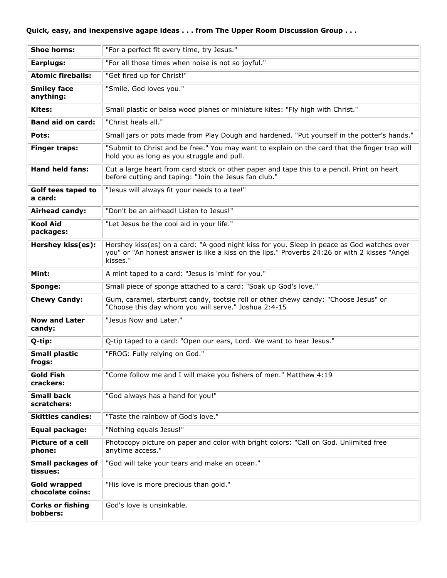## **Quick, easy, and inexpensive agape ideas . . . from The Upper Room Discussion Group . . .**

| <b>Shoe horns:</b>                   | "For a perfect fit every time, try Jesus."                                                                                                                                                              |
|--------------------------------------|---------------------------------------------------------------------------------------------------------------------------------------------------------------------------------------------------------|
| Earplugs:                            | "For all those times when noise is not so joyful."                                                                                                                                                      |
| <b>Atomic fireballs:</b>             | "Get fired up for Christ!"                                                                                                                                                                              |
| <b>Smiley face</b><br>anything:      | "Smile. God loves you."                                                                                                                                                                                 |
| <b>Kites:</b>                        | Small plastic or balsa wood planes or miniature kites: "Fly high with Christ."                                                                                                                          |
| <b>Band aid on card:</b>             | "Christ heals all."                                                                                                                                                                                     |
| Pots:                                | Small jars or pots made from Play Dough and hardened. "Put yourself in the potter's hands."                                                                                                             |
| <b>Finger traps:</b>                 | "Submit to Christ and be free." You may want to explain on the card that the finger trap will<br>hold you as long as you struggle and pull.                                                             |
| <b>Hand held fans:</b>               | Cut a large heart from card stock or other paper and tape this to a pencil. Print on heart<br>before cutting and taping: "Join the Jesus fan club."                                                     |
| Golf tees taped to<br>a card:        | "Jesus will always fit your needs to a tee!"                                                                                                                                                            |
| Airhead candy:                       | "Don't be an airhead! Listen to Jesus!"                                                                                                                                                                 |
| <b>Kool Aid</b><br>packages:         | "Let Jesus be the cool aid in your life."                                                                                                                                                               |
| Hershey kiss(es):                    | Hershey kiss(es) on a card: "A good night kiss for you. Sleep in peace as God watches over<br>you" or "An honest answer is like a kiss on the lips." Proverbs 24:26 or with 2 kisses "Angel<br>kisses." |
| Mint:                                | A mint taped to a card: "Jesus is 'mint' for you."                                                                                                                                                      |
| Sponge:                              | Small piece of sponge attached to a card: "Soak up God's love."                                                                                                                                         |
| <b>Chewy Candy:</b>                  | Gum, caramel, starburst candy, tootsie roll or other chewy candy: "Choose Jesus" or<br>"Choose this day whom you will serve." Joshua 2:4-15                                                             |
| <b>Now and Later</b><br>candy:       | "Jesus Now and Later."                                                                                                                                                                                  |
| Q-tip:                               | Q-tip taped to a card: "Open our ears, Lord. We want to hear Jesus."                                                                                                                                    |
| <b>Small plastic</b><br>frogs:       | "FROG: Fully relying on God."                                                                                                                                                                           |
| <b>Gold Fish</b><br>crackers:        | "Come follow me and I will make you fishers of men." Matthew 4:19                                                                                                                                       |
| <b>Small back</b><br>scratchers:     | "God always has a hand for you!"                                                                                                                                                                        |
| <b>Skittles candies:</b>             | "Taste the rainbow of God's love."                                                                                                                                                                      |
| Equal package:                       | "Nothing equals Jesus!"                                                                                                                                                                                 |
| <b>Picture of a cell</b><br>phone:   | Photocopy picture on paper and color with bright colors: "Call on God. Unlimited free<br>anytime access."                                                                                               |
| <b>Small packages of</b><br>tissues: | "God will take your tears and make an ocean."                                                                                                                                                           |
| Gold wrapped<br>chocolate coins:     | "His love is more precious than gold."                                                                                                                                                                  |
| <b>Corks or fishing</b><br>bobbers:  | God's love is unsinkable.                                                                                                                                                                               |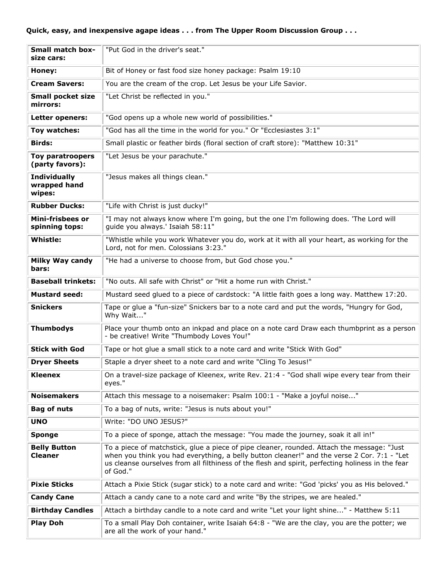| <b>Small match box-</b><br>size cars:         | "Put God in the driver's seat."                                                                                                                                                                                                                                                                            |
|-----------------------------------------------|------------------------------------------------------------------------------------------------------------------------------------------------------------------------------------------------------------------------------------------------------------------------------------------------------------|
| Honey:                                        | Bit of Honey or fast food size honey package: Psalm 19:10                                                                                                                                                                                                                                                  |
| <b>Cream Savers:</b>                          | You are the cream of the crop. Let Jesus be your Life Savior.                                                                                                                                                                                                                                              |
| <b>Small pocket size</b><br>mirrors:          | "Let Christ be reflected in you."                                                                                                                                                                                                                                                                          |
| Letter openers:                               | "God opens up a whole new world of possibilities."                                                                                                                                                                                                                                                         |
| Toy watches:                                  | "God has all the time in the world for you." Or "Ecclesiastes 3:1"                                                                                                                                                                                                                                         |
| <b>Birds:</b>                                 | Small plastic or feather birds (floral section of craft store): "Matthew 10:31"                                                                                                                                                                                                                            |
| <b>Toy paratroopers</b><br>(party favors):    | "Let Jesus be your parachute."                                                                                                                                                                                                                                                                             |
| <b>Individually</b><br>wrapped hand<br>wipes: | "Jesus makes all things clean."                                                                                                                                                                                                                                                                            |
| <b>Rubber Ducks:</b>                          | "Life with Christ is just ducky!"                                                                                                                                                                                                                                                                          |
| <b>Mini-frisbees or</b><br>spinning tops:     | "I may not always know where I'm going, but the one I'm following does. 'The Lord will<br>guide you always.' Isaiah 58:11"                                                                                                                                                                                 |
| <b>Whistle:</b>                               | "Whistle while you work Whatever you do, work at it with all your heart, as working for the<br>Lord, not for men. Colossians 3:23."                                                                                                                                                                        |
| <b>Milky Way candy</b><br>bars:               | "He had a universe to choose from, but God chose you."                                                                                                                                                                                                                                                     |
| <b>Baseball trinkets:</b>                     | "No outs. All safe with Christ" or "Hit a home run with Christ."                                                                                                                                                                                                                                           |
|                                               |                                                                                                                                                                                                                                                                                                            |
| <b>Mustard seed:</b>                          | Mustard seed glued to a piece of cardstock: "A little faith goes a long way. Matthew 17:20.                                                                                                                                                                                                                |
| <b>Snickers</b>                               | Tape or glue a "fun-size" Snickers bar to a note card and put the words, "Hungry for God,<br>Why Wait"                                                                                                                                                                                                     |
| <b>Thumbodys</b>                              | Place your thumb onto an inkpad and place on a note card Draw each thumbprint as a person<br>- be creative! Write "Thumbody Loves You!"                                                                                                                                                                    |
| <b>Stick with God</b>                         | Tape or hot glue a small stick to a note card and write "Stick With God"                                                                                                                                                                                                                                   |
| <b>Dryer Sheets</b>                           | Staple a dryer sheet to a note card and write "Cling To Jesus!"                                                                                                                                                                                                                                            |
| <b>Kleenex</b>                                | On a travel-size package of Kleenex, write Rev. 21:4 - "God shall wipe every tear from their<br>eyes."                                                                                                                                                                                                     |
| <b>Noisemakers</b>                            | Attach this message to a noisemaker: Psalm 100:1 - "Make a joyful noise"                                                                                                                                                                                                                                   |
| <b>Bag of nuts</b>                            | To a bag of nuts, write: "Jesus is nuts about you!"                                                                                                                                                                                                                                                        |
| <b>UNO</b>                                    | Write: "DO UNO JESUS?"                                                                                                                                                                                                                                                                                     |
| <b>Sponge</b>                                 | To a piece of sponge, attach the message: "You made the journey, soak it all in!"                                                                                                                                                                                                                          |
| <b>Belly Button</b><br><b>Cleaner</b>         | To a piece of matchstick, glue a piece of pipe cleaner, rounded. Attach the message: "Just<br>when you think you had everything, a belly button cleaner!" and the verse 2 Cor. 7:1 - "Let<br>us cleanse ourselves from all filthiness of the flesh and spirit, perfecting holiness in the fear<br>of God." |
| <b>Pixie Sticks</b>                           | Attach a Pixie Stick (sugar stick) to a note card and write: "God 'picks' you as His beloved."                                                                                                                                                                                                             |
| <b>Candy Cane</b>                             | Attach a candy cane to a note card and write "By the stripes, we are healed."                                                                                                                                                                                                                              |
| <b>Birthday Candles</b>                       | Attach a birthday candle to a note card and write "Let your light shine" - Matthew 5:11                                                                                                                                                                                                                    |